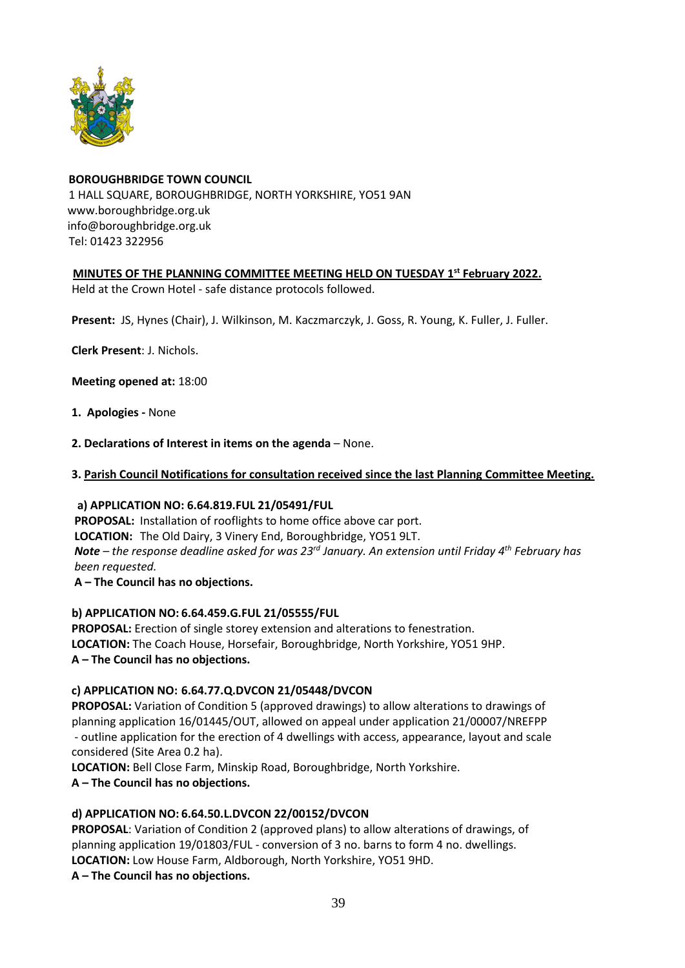

# **BOROUGHBRIDGE TOWN COUNCIL** 1 HALL SQUARE, BOROUGHBRIDGE, NORTH YORKSHIRE, YO51 9AN [www.boroughbridge.org.uk](http://www.boroughbridge.org.uk/) [info@boroughbridge.org.uk](mailto:info@boroughbridge.org.uk) Tel: 01423 322956

# **MINUTES OF THE PLANNING COMMITTEE MEETING HELD ON TUESDAY 1 st February 2022.**

Held at the Crown Hotel - safe distance protocols followed.

 **Present:** JS, Hynes (Chair), J. Wilkinson, M. Kaczmarczyk, J. Goss, R. Young, K. Fuller, J. Fuller.

 **Clerk Present**: J. Nichols.

 **Meeting opened at:** 18:00

- **1. Apologies -** None
- **2. Declarations of Interest in items on the agenda** None.
- **3. Parish Council Notifications for consultation received since the last Planning Committee Meeting.**

### **a) APPLICATION NO: 6.64.819.FUL 21/05491/FUL**

 **PROPOSAL:** Installation of rooflights to home office above car port.  **LOCATION:** The Old Dairy, 3 Vinery End, Boroughbridge, YO51 9LT. *Note – the response deadline asked for was 23rd January. An extension until Friday 4th February has been requested.*

 **A – The Council has no objections.**

### **b) APPLICATION NO: 6.64.459.G.FUL 21/05555/FUL**

 **PROPOSAL:** Erection of single storey extension and alterations to fenestration.  **LOCATION:** The Coach House, Horsefair, Boroughbridge, North Yorkshire, YO51 9HP. **A – The Council has no objections.**

## **c) APPLICATION NO: 6.64.77.Q.DVCON 21/05448/DVCON**

 **PROPOSAL:** Variation of Condition 5 (approved drawings) to allow alterations to drawings of planning application 16/01445/OUT, allowed on appeal under application 21/00007/NREFPP - outline application for the erection of 4 dwellings with access, appearance, layout and scale considered (Site Area 0.2 ha).

 **LOCATION:** Bell Close Farm, Minskip Road, Boroughbridge, North Yorkshire.

 **A – The Council has no objections.**

## **d) APPLICATION NO: 6.64.50.L.DVCON 22/00152/DVCON**

 **PROPOSAL**: Variation of Condition 2 (approved plans) to allow alterations of drawings, of planning application 19/01803/FUL - conversion of 3 no. barns to form 4 no. dwellings.  **LOCATION:** Low House Farm, Aldborough, North Yorkshire, YO51 9HD.

 **A – The Council has no objections.**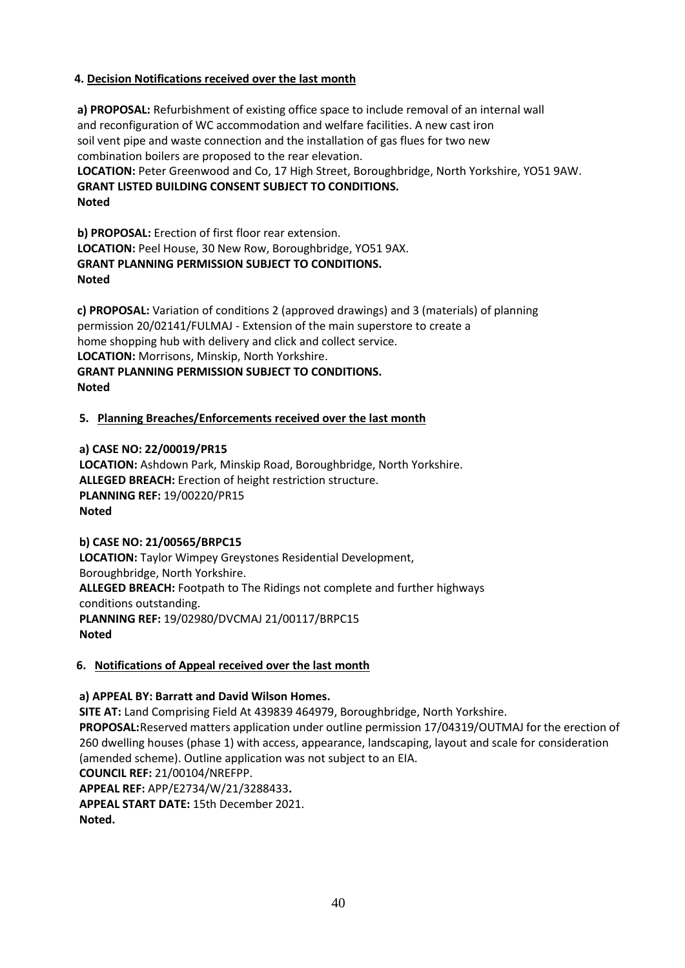# **4. Decision Notifications received over the last month**

 **a) PROPOSAL:** Refurbishment of existing office space to include removal of an internal wall and reconfiguration of WC accommodation and welfare facilities. A new cast iron soil vent pipe and waste connection and the installation of gas flues for two new combination boilers are proposed to the rear elevation.  **LOCATION:** Peter Greenwood and Co, 17 High Street, Boroughbridge, North Yorkshire, YO51 9AW.  **GRANT LISTED BUILDING CONSENT SUBJECT TO CONDITIONS. Noted**

 **b) PROPOSAL:** Erection of first floor rear extension.  **LOCATION:** Peel House, 30 New Row, Boroughbridge, YO51 9AX.  **GRANT PLANNING PERMISSION SUBJECT TO CONDITIONS. Noted**

 **c) PROPOSAL:** Variation of conditions 2 (approved drawings) and 3 (materials) of planning permission 20/02141/FULMAJ - Extension of the main superstore to create a home shopping hub with delivery and click and collect service.  **LOCATION:** Morrisons, Minskip, North Yorkshire.  **GRANT PLANNING PERMISSION SUBJECT TO CONDITIONS. Noted**

### **5. Planning Breaches/Enforcements received over the last month**

 **a) CASE NO: 22/00019/PR15 LOCATION:** Ashdown Park, Minskip Road, Boroughbridge, North Yorkshire.  **ALLEGED BREACH:** Erection of height restriction structure.  **PLANNING REF:** 19/00220/PR15 **Noted**

### **b) CASE NO: 21/00565/BRPC15**

 **LOCATION:** Taylor Wimpey Greystones Residential Development, Boroughbridge, North Yorkshire.  **ALLEGED BREACH:** Footpath to The Ridings not complete and further highways conditions outstanding.  **PLANNING REF:** 19/02980/DVCMAJ 21/00117/BRPC15 **Noted**

## **6. Notifications of Appeal received over the last month**

### **a) APPEAL BY: Barratt and David Wilson Homes.**

**SITE AT:** Land Comprising Field At 439839 464979, Boroughbridge, North Yorkshire. **PROPOSAL:**Reserved matters application under outline permission 17/04319/OUTMAJ for the erection of 260 dwelling houses (phase 1) with access, appearance, landscaping, layout and scale for consideration (amended scheme). Outline application was not subject to an EIA. **COUNCIL REF:** 21/00104/NREFPP. **APPEAL REF:** APP/E2734/W/21/3288433**.** 

**APPEAL START DATE:** 15th December 2021. **Noted.**